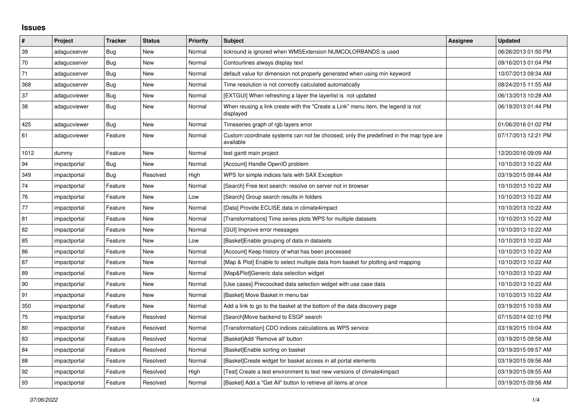## **Issues**

| $\vert$ #  | Project      | <b>Tracker</b> | <b>Status</b> | <b>Priority</b> | <b>Subject</b>                                                                                     | Assignee | <b>Updated</b>      |
|------------|--------------|----------------|---------------|-----------------|----------------------------------------------------------------------------------------------------|----------|---------------------|
| 39         | adagucserver | Bug            | New           | Normal          | tickround is ignored when WMSExtension NUMCOLORBANDS is used                                       |          | 06/26/2013 01:50 PM |
| 70         | adagucserver | Bug            | <b>New</b>    | Normal          | Contourlines always display text                                                                   |          | 09/16/2013 01:04 PM |
| 71         | adagucserver | <b>Bug</b>     | New           | Normal          | default value for dimension not properly generated when using min keyword                          |          | 10/07/2013 09:34 AM |
| 368        | adagucserver | Bug            | <b>New</b>    | Normal          | Time resolution is not correctly calculated automatically                                          |          | 08/24/2015 11:55 AM |
| 37         | adagucviewer | <b>Bug</b>     | New           | Normal          | [EXTGUI] When refreshing a layer the layerlist is not updated                                      |          | 06/13/2013 10:28 AM |
| 38         | adagucviewer | Bug            | New           | Normal          | When reusing a link create with the "Create a Link" menu item, the legend is not<br>displayed      |          | 06/19/2013 01:44 PM |
| 425        | adagucviewer | Bug            | New           | Normal          | Timeseries graph of rgb layers error                                                               |          | 01/06/2016 01:02 PM |
| 61         | adagucviewer | Feature        | New           | Normal          | Custom coordinate systems can not be choosed, only the predefined in the map type are<br>available |          | 07/17/2013 12:21 PM |
| 1012       | dummy        | Feature        | New           | Normal          | test gantt main project                                                                            |          | 12/20/2016 09:09 AM |
| 94         | impactportal | <b>Bug</b>     | New           | Normal          | [Account] Handle OpenID problem                                                                    |          | 10/10/2013 10:22 AM |
| 349        | impactportal | Bug            | Resolved      | High            | WPS for simple indices fails with SAX Exception                                                    |          | 03/19/2015 09:44 AM |
| 74         | impactportal | Feature        | <b>New</b>    | Normal          | [Search] Free text search: resolve on server not in browser                                        |          | 10/10/2013 10:22 AM |
| ${\bf 76}$ | impactportal | Feature        | New           | Low             | [Search] Group search results in folders                                                           |          | 10/10/2013 10:22 AM |
| 77         | impactportal | Feature        | <b>New</b>    | Normal          | [Data] Provide ECLISE data in climate4impact                                                       |          | 10/10/2013 10:22 AM |
| 81         | impactportal | Feature        | New           | Normal          | [Transformations] Time series plots WPS for multiple datasets                                      |          | 10/10/2013 10:22 AM |
| 82         | impactportal | Feature        | New           | Normal          | [GUI] Improve error messages                                                                       |          | 10/10/2013 10:22 AM |
| 85         | impactportal | Feature        | New           | Low             | [Basket]Enable grouping of data in datasets                                                        |          | 10/10/2013 10:22 AM |
| 86         | impactportal | Feature        | <b>New</b>    | Normal          | [Account] Keep history of what has been processed                                                  |          | 10/10/2013 10:22 AM |
| 87         | impactportal | Feature        | New           | Normal          | [Map & Plot] Enable to select multiple data from basket for plotting and mapping                   |          | 10/10/2013 10:22 AM |
| 89         | impactportal | Feature        | New           | Normal          | [Map&Plot]Generic data selection widget                                                            |          | 10/10/2013 10:22 AM |
| 90         | impactportal | Feature        | New           | Normal          | [Use cases] Precoocked data selection widget with use case data                                    |          | 10/10/2013 10:22 AM |
| 91         | impactportal | Feature        | <b>New</b>    | Normal          | [Basket] Move Basket in menu bar                                                                   |          | 10/10/2013 10:22 AM |
| 350        | impactportal | Feature        | <b>New</b>    | Normal          | Add a link to go to the basket at the bottom of the data discovery page                            |          | 03/19/2015 10:59 AM |
| 75         | impactportal | Feature        | Resolved      | Normal          | [Search]Move backend to ESGF search                                                                |          | 07/15/2014 02:10 PM |
| 80         | impactportal | Feature        | Resolved      | Normal          | [Transformation] CDO indices calculations as WPS service                                           |          | 03/19/2015 10:04 AM |
| 83         | impactportal | Feature        | Resolved      | Normal          | [Basket]Add 'Remove all' button                                                                    |          | 03/19/2015 09:58 AM |
| 84         | impactportal | Feature        | Resolved      | Normal          | [Basket]Enable sorting on basket                                                                   |          | 03/19/2015 09:57 AM |
| 88         | impactportal | Feature        | Resolved      | Normal          | [Basket]Create widget for basket access in all portal elements                                     |          | 03/19/2015 09:56 AM |
| 92         | impactportal | Feature        | Resolved      | High            | [Test] Create a test environment to test new versions of climate4impact                            |          | 03/19/2015 09:55 AM |
| 93         | impactportal | Feature        | Resolved      | Normal          | [Basket] Add a "Get All" button to retrieve all items at once                                      |          | 03/19/2015 09:56 AM |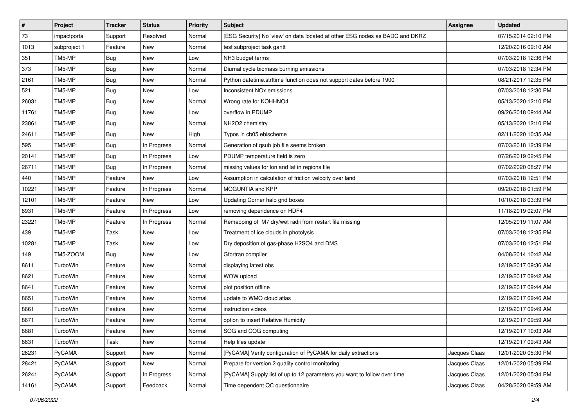| $\vert$ # | Project      | <b>Tracker</b> | <b>Status</b> | Priority | <b>Subject</b>                                                               | <b>Assignee</b> | <b>Updated</b>      |
|-----------|--------------|----------------|---------------|----------|------------------------------------------------------------------------------|-----------------|---------------------|
| 73        | impactportal | Support        | Resolved      | Normal   | [ESG Security] No 'view' on data located at other ESG nodes as BADC and DKRZ |                 | 07/15/2014 02:10 PM |
| 1013      | subproject 1 | Feature        | <b>New</b>    | Normal   | test subproject task gantt                                                   |                 | 12/20/2016 09:10 AM |
| 351       | TM5-MP       | <b>Bug</b>     | New           | Low      | NH3 budget terms                                                             |                 | 07/03/2018 12:36 PM |
| 373       | TM5-MP       | <b>Bug</b>     | <b>New</b>    | Normal   | Diurnal cycle biomass burning emissions                                      |                 | 07/03/2018 12:34 PM |
| 2161      | TM5-MP       | Bug            | <b>New</b>    | Normal   | Python datetime.strftime function does not support dates before 1900         |                 | 08/21/2017 12:35 PM |
| 521       | TM5-MP       | <b>Bug</b>     | <b>New</b>    | Low      | Inconsistent NO <sub>x</sub> emissions                                       |                 | 07/03/2018 12:30 PM |
| 26031     | TM5-MP       | <b>Bug</b>     | <b>New</b>    | Normal   | Wrong rate for KOHHNO4                                                       |                 | 05/13/2020 12:10 PM |
| 11761     | TM5-MP       | <b>Bug</b>     | <b>New</b>    | Low      | overflow in PDUMP                                                            |                 | 09/26/2018 09:44 AM |
| 23861     | TM5-MP       | <b>Bug</b>     | New           | Normal   | NH2O2 chemistry                                                              |                 | 05/13/2020 12:10 PM |
| 24611     | TM5-MP       | <b>Bug</b>     | <b>New</b>    | High     | Typos in cb05 ebischeme                                                      |                 | 02/11/2020 10:35 AM |
| 595       | TM5-MP       | <b>Bug</b>     | In Progress   | Normal   | Generation of qsub job file seems broken                                     |                 | 07/03/2018 12:39 PM |
| 20141     | TM5-MP       | <b>Bug</b>     | In Progress   | Low      | PDUMP temperature field is zero                                              |                 | 07/26/2019 02:45 PM |
| 26711     | TM5-MP       | <b>Bug</b>     | In Progress   | Normal   | missing values for lon and lat in regions file                               |                 | 07/02/2020 08:27 PM |
| 440       | TM5-MP       | Feature        | <b>New</b>    | Low      | Assumption in calculation of friction velocity over land                     |                 | 07/03/2018 12:51 PM |
| 10221     | TM5-MP       | Feature        | In Progress   | Normal   | MOGUNTIA and KPP                                                             |                 | 09/20/2018 01:59 PM |
| 12101     | TM5-MP       | Feature        | New           | Low      | Updating Corner halo grid boxes                                              |                 | 10/10/2018 03:39 PM |
| 8931      | TM5-MP       | Feature        | In Progress   | Low      | removing dependence on HDF4                                                  |                 | 11/18/2019 02:07 PM |
| 23221     | TM5-MP       | Feature        | In Progress   | Normal   | Remapping of M7 dry/wet radii from restart file missing                      |                 | 12/05/2019 11:07 AM |
| 439       | TM5-MP       | Task           | New           | Low      | Treatment of ice clouds in photolysis                                        |                 | 07/03/2018 12:35 PM |
| 10281     | TM5-MP       | Task           | <b>New</b>    | Low      | Dry deposition of gas-phase H2SO4 and DMS                                    |                 | 07/03/2018 12:51 PM |
| 149       | TM5-ZOOM     | <b>Bug</b>     | New           | Low      | Gfortran compiler                                                            |                 | 04/08/2014 10:42 AM |
| 8611      | TurboWin     | Feature        | <b>New</b>    | Normal   | displaying latest obs                                                        |                 | 12/19/2017 09:36 AM |
| 8621      | TurboWin     | Feature        | New           | Normal   | WOW upload                                                                   |                 | 12/19/2017 09:42 AM |
| 8641      | TurboWin     | Feature        | <b>New</b>    | Normal   | plot position offline                                                        |                 | 12/19/2017 09:44 AM |
| 8651      | TurboWin     | Feature        | New           | Normal   | update to WMO cloud atlas                                                    |                 | 12/19/2017 09:46 AM |
| 8661      | TurboWin     | Feature        | <b>New</b>    | Normal   | instruction videos                                                           |                 | 12/19/2017 09:49 AM |
| 8671      | TurboWin     | Feature        | New           | Normal   | option to insert Relative Humidity                                           |                 | 12/19/2017 09:59 AM |
| 8681      | TurboWin     | Feature        | New           | Normal   | SOG and COG computing                                                        |                 | 12/19/2017 10:03 AM |
| 8631      | TurboWin     | Task           | New           | Normal   | Help files update                                                            |                 | 12/19/2017 09:43 AM |
| 26231     | PyCAMA       | Support        | New           | Normal   | [PyCAMA] Verify configuration of PyCAMA for daily extractions                | Jacques Claas   | 12/01/2020 05:30 PM |
| 28421     | PyCAMA       | Support        | New           | Normal   | Prepare for version 2 quality control monitoring.                            | Jacques Claas   | 12/01/2020 05:39 PM |
| 26241     | PyCAMA       | Support        | In Progress   | Normal   | [PyCAMA] Supply list of up to 12 parameters you want to follow over time     | Jacques Claas   | 12/01/2020 05:34 PM |
| 14161     | PyCAMA       | Support        | Feedback      | Normal   | Time dependent QC questionnaire                                              | Jacques Claas   | 04/28/2020 09:59 AM |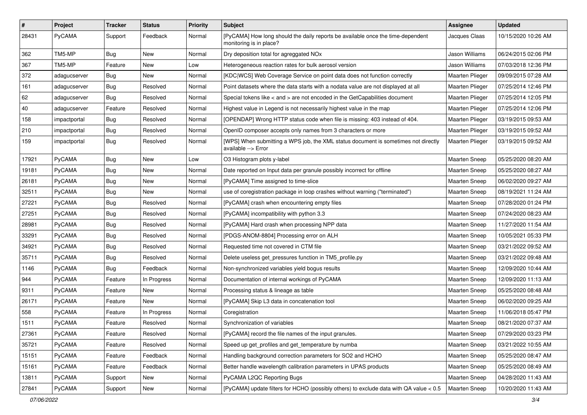| $\pmb{\#}$   | Project      | <b>Tracker</b> | <b>Status</b> | <b>Priority</b> | <b>Subject</b>                                                                                             | Assignee             | <b>Updated</b>      |
|--------------|--------------|----------------|---------------|-----------------|------------------------------------------------------------------------------------------------------------|----------------------|---------------------|
| 28431        | PyCAMA       | Support        | Feedback      | Normal          | [PyCAMA] How long should the daily reports be available once the time-dependent<br>monitoring is in place? | Jacques Claas        | 10/15/2020 10:26 AM |
| 362          | TM5-MP       | <b>Bug</b>     | New           | Normal          | Dry deposition total for agreggated NOx                                                                    | Jason Williams       | 06/24/2015 02:06 PM |
| 367          | TM5-MP       | Feature        | New           | Low             | Heterogeneous reaction rates for bulk aerosol version                                                      | Jason Williams       | 07/03/2018 12:36 PM |
| 372          | adagucserver | Bug            | New           | Normal          | [KDC WCS] Web Coverage Service on point data does not function correctly                                   | Maarten Plieger      | 09/09/2015 07:28 AM |
| 161          | adagucserver | Bug            | Resolved      | Normal          | Point datasets where the data starts with a nodata value are not displayed at all                          | Maarten Plieger      | 07/25/2014 12:46 PM |
| 62           | adagucserver | <b>Bug</b>     | Resolved      | Normal          | Special tokens like < and > are not encoded in the GetCapabilities document                                | Maarten Plieger      | 07/25/2014 12:05 PM |
| $ 40\rangle$ | adagucserver | Feature        | Resolved      | Normal          | Highest value in Legend is not necessarily highest value in the map                                        | Maarten Plieger      | 07/25/2014 12:06 PM |
| 158          | impactportal | <b>Bug</b>     | Resolved      | Normal          | [OPENDAP] Wrong HTTP status code when file is missing: 403 instead of 404.                                 | Maarten Plieger      | 03/19/2015 09:53 AM |
| 210          | impactportal | <b>Bug</b>     | Resolved      | Normal          | OpenID composer accepts only names from 3 characters or more                                               | Maarten Plieger      | 03/19/2015 09:52 AM |
| 159          | impactportal | Bug            | Resolved      | Normal          | [WPS] When submitting a WPS job, the XML status document is sometimes not directly<br>available --> Error  | Maarten Plieger      | 03/19/2015 09:52 AM |
| 17921        | PyCAMA       | Bug            | New           | Low             | O3 Histogram plots y-label                                                                                 | Maarten Sneep        | 05/25/2020 08:20 AM |
| 19181        | PyCAMA       | <b>Bug</b>     | New           | Normal          | Date reported on Input data per granule possibly incorrect for offline                                     | <b>Maarten Sneep</b> | 05/25/2020 08:27 AM |
| 26181        | PyCAMA       | Bug            | New           | Normal          | [PyCAMA] Time assigned to time-slice                                                                       | <b>Maarten Sneep</b> | 06/02/2020 09:27 AM |
| 32511        | PyCAMA       | <b>Bug</b>     | New           | Normal          | use of coregistration package in loop crashes without warning ("terminated")                               | Maarten Sneep        | 08/19/2021 11:24 AM |
| 27221        | PyCAMA       | <b>Bug</b>     | Resolved      | Normal          | [PyCAMA] crash when encountering empty files                                                               | <b>Maarten Sneep</b> | 07/28/2020 01:24 PM |
| 27251        | PyCAMA       | Bug            | Resolved      | Normal          | [PyCAMA] incompatibility with python 3.3                                                                   | Maarten Sneep        | 07/24/2020 08:23 AM |
| 28981        | PyCAMA       | <b>Bug</b>     | Resolved      | Normal          | [PyCAMA] Hard crash when processing NPP data                                                               | <b>Maarten Sneep</b> | 11/27/2020 11:54 AM |
| 33291        | PyCAMA       | <b>Bug</b>     | Resolved      | Normal          | [PDGS-ANOM-8804] Processing error on ALH                                                                   | <b>Maarten Sneep</b> | 10/05/2021 05:33 PM |
| 34921        | PyCAMA       | <b>Bug</b>     | Resolved      | Normal          | Requested time not covered in CTM file                                                                     | <b>Maarten Sneep</b> | 03/21/2022 09:52 AM |
| 35711        | PyCAMA       | <b>Bug</b>     | Resolved      | Normal          | Delete useless get_pressures function in TM5_profile.py                                                    | Maarten Sneep        | 03/21/2022 09:48 AM |
| 1146         | PyCAMA       | Bug            | Feedback      | Normal          | Non-synchronized variables yield bogus results                                                             | Maarten Sneep        | 12/09/2020 10:44 AM |
| 944          | PyCAMA       | Feature        | In Progress   | Normal          | Documentation of internal workings of PyCAMA                                                               | <b>Maarten Sneep</b> | 12/09/2020 11:13 AM |
| 9311         | PyCAMA       | Feature        | New           | Normal          | Processing status & lineage as table                                                                       | <b>Maarten Sneep</b> | 05/25/2020 08:48 AM |
| 26171        | PyCAMA       | Feature        | New           | Normal          | [PyCAMA] Skip L3 data in concatenation tool                                                                | Maarten Sneep        | 06/02/2020 09:25 AM |
| 558          | PyCAMA       | Feature        | In Progress   | Normal          | Coregistration                                                                                             | <b>Maarten Sneep</b> | 11/06/2018 05:47 PM |
| 1511         | PyCAMA       | Feature        | Resolved      | Normal          | Synchronization of variables                                                                               | <b>Maarten Sneep</b> | 08/21/2020 07:37 AM |
| 27361        | PyCAMA       | Feature        | Resolved      | Normal          | [PyCAMA] record the file names of the input granules.                                                      | Maarten Sneep        | 07/29/2020 03:23 PM |
| 35721        | PyCAMA       | Feature        | Resolved      | Normal          | Speed up get profiles and get temperature by numba                                                         | Maarten Sneep        | 03/21/2022 10:55 AM |
| 15151        | PyCAMA       | Feature        | Feedback      | Normal          | Handling background correction parameters for SO2 and HCHO                                                 | Maarten Sneep        | 05/25/2020 08:47 AM |
| 15161        | PyCAMA       | Feature        | Feedback      | Normal          | Better handle wavelength calibration parameters in UPAS products                                           | <b>Maarten Sneep</b> | 05/25/2020 08:49 AM |
| 13811        | PyCAMA       | Support        | New           | Normal          | PyCAMA L2QC Reporting Bugs                                                                                 | Maarten Sneep        | 04/28/2020 11:43 AM |
| 27841        | PyCAMA       | Support        | New           | Normal          | [PyCAMA] update filters for HCHO (possibly others) to exclude data with QA value < 0.5                     | Maarten Sneep        | 10/20/2020 11:43 AM |